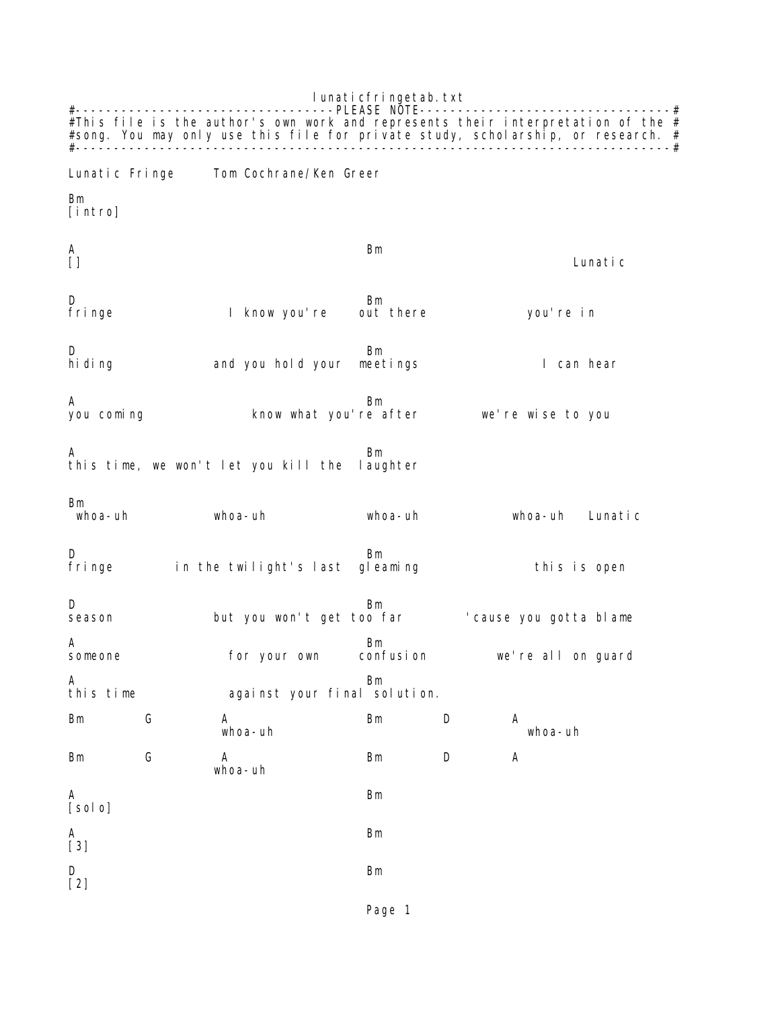lunaticfringetab.txt #----------------------------------PLEASE NOTE---------------------------------# #This file is the author's own work and represents their interpretation of the  $#$ #song. You may only use this file for private study, scholarship, or research. # #------------------------------------------------------------------------------# Lunatic Fringe Tom Cochrane/Ken Greer Bm [intro]  $\mathsf A$  Bm [] Lunatic D Bm fringe The I know you're out there the you're in D Bm hiding and you hold your meetings I can hear  $\mathsf A$  Bm you coming external the know what you're after we're wise to you  $\mathsf A$  Bm this time, we won't let you kill the laughter Bm<br>whoa-uh whoa-uh whoa-uh whoa-uh whoa-uh Lunatic D Bm fringe in the twilight's last gleaming this is open D Bm season but you won't get too far 'cause you gotta blame  $\mathsf A$  Bm someone for your own confusion we're all on guard  $\mathsf A$  Bm this time against your final solution. Bm G A Bm D A whoa-uh whoa-uh Bm G A Bm D A whoa-uh  $\mathsf A$  Bm [solo] A Bm [3] D Bm  $\overline{1}$  2]